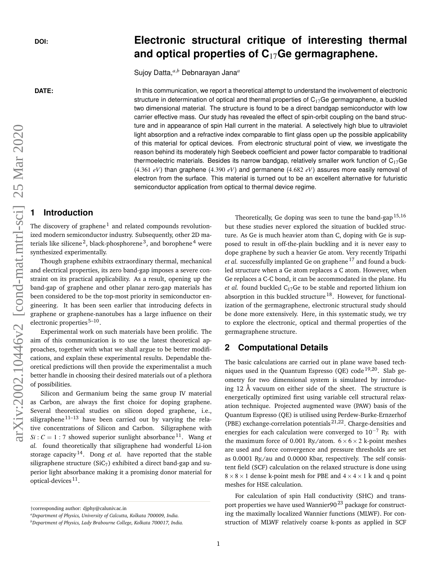# **DOI: Electronic structural critique of interesting thermal and optical properties of C**17**Ge germagraphene.**

Sujoy Datta,*a*,*<sup>b</sup>* Debnarayan Jana*<sup>a</sup>*

**DATE:** In this communication, we report a theoretical attempt to understand the involvement of electronic structure in determination of optical and thermal properties of  $C_{17}$ Ge germagraphene, a buckled two dimensional material. The structure is found to be a direct bandgap semiconductor with low carrier effective mass. Our study has revealed the effect of spin-orbit coupling on the band structure and in appearance of spin Hall current in the material. A selectively high blue to ultraviolet light absorption and a refractive index comparable to flint glass open up the possible applicability of this material for optical devices. From electronic structural point of view, we investigate the reason behind its moderately high Seebeck coefficient and power factor comparable to traditional thermoelectric materials. Besides its narrow bandgap, relatively smaller work function of  $C_{17}Ge$  $(4.361 \text{ eV})$  than graphene  $(4.390 \text{ eV})$  and germanene  $(4.682 \text{ eV})$  assures more easily removal of electron from the surface. This material is turned out to be an excellent alternative for futuristic semiconductor application from optical to thermal device regime.

## **1 Introduction**

The discovery of graphene<sup>1</sup> and related compounds revolutionized modern semiconductor industry. Subsequently, other 2D materials like silicene<sup>2</sup>, black-phosphorene<sup>3</sup>, and borophene<sup>4</sup> were synthesized experimentally.

Though graphene exhibits extraordinary thermal, mechanical and electrical properties, its zero band-gap imposes a severe constraint on its practical applicability. As a result, opening up the band-gap of graphene and other planar zero-gap materials has been considered to be the top-most priority in semiconductor engineering. It has been seen earlier that introducing defects in graphene or graphene-nanotubes has a large influence on their electronic properties<sup>5-10</sup>.

Experimental work on such materials have been prolific. The aim of this communication is to use the latest theoretical approaches, together with what we shall argue to be better modifications, and explain these experimental results. Dependable theoretical predictions will then provide the experimentalist a much better handle in choosing their desired materials out of a plethora of possibilities.

Silicon and Germanium being the same group IV material as Carbon, are always the first choice for doping graphene. Several theoretical studies on silicon doped graphene, i.e., siligraphene $11-13$  have been carried out by varying the relative concentrations of Silicon and Carbon. Siligraphene with  $Si: C = 1:7$  showed superior sunlight absorbance <sup>11</sup>. Wang *et al.* found theoretically that siligraphene had wonderful Li-ion storage capacity <sup>14</sup>. Dong *et al.* have reported that the stable siligraphene structure ( $SiC_7$ ) exhibited a direct band-gap and superior light absorbance making it a promising donor material for optical-devices<sup>11</sup>.

Theoretically, Ge doping was seen to tune the band-gap <sup>15,16</sup> but these studies never explored the situation of buckled structure. As Ge is much heavier atom than C, doping with Ge is supposed to result in off-the-plain buckling and it is never easy to dope graphene by such a heavier Ge atom. Very recently Tripathi *et al.* successfully implanted Ge on graphene<sup>17</sup> and found a buckled structure when a Ge atom replaces a C atom. However, when Ge replaces a C-C bond, it can be accommodated in the plane. Hu *et al.* found buckled  $C_{17}$  Ge to be stable and reported lithium ion absorption in this buckled structure<sup>18</sup>. However, for functionalization of the germagraphene, electronic structural study should be done more extensively. Here, in this systematic study, we try to explore the electronic, optical and thermal properties of the germagraphene structure.

### **2 Computational Details**

The basic calculations are carried out in plane wave based techniques used in the Quantum Espresso (QE) code  $19,20$ . Slab geometry for two dimensional system is simulated by introducing 12 Å vacuum on either side of the sheet. The structure is energetically optimized first using variable cell structural relaxation technique. Projected augmented wave (PAW) basis of the Quantum Espresso (QE) is utilised using Perdew-Burke-Ernzerhof (PBE) exchange-correlation potentials 21,22. Charge-densities and energies for each calculation were converged to  $10^{-7}$  Ry. with the maximum force of 0.001 Ry./atom.  $6 \times 6 \times 2$  k-point meshes are used and force convergence and pressure thresholds are set as 0.0001 Ry./au and 0.0000 Kbar, respectively. The self consistent field (SCF) calculation on the relaxed structure is done using  $8 \times 8 \times 1$  dense k-point mesh for PBE and  $4 \times 4 \times 1$  k and q point meshes for HSE calculation.

For calculation of spin Hall conductivity (SHC) and transport properties we have used Wannier $90^{23}$  package for constructing the maximally localized Wannier functions (MLWF). For construction of MLWF relatively coarse k-ponts as applied in SCF

<sup>†</sup>corresponding author: djphy@caluniv.ac.in

*<sup>a</sup>Department of Physics, University of Calcutta, Kolkata 700009, India.*

*<sup>b</sup>Department of Physics, Lady Brabourne College, Kolkata 700017, India.*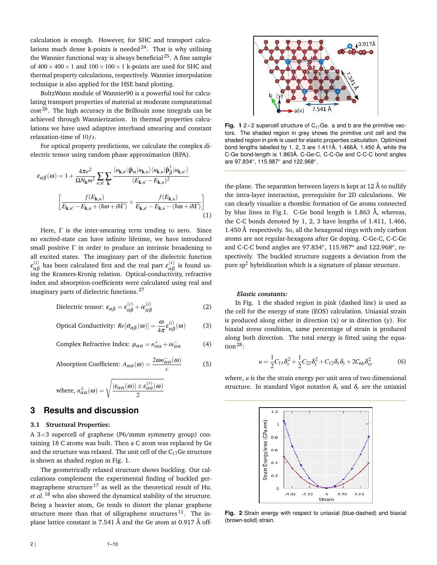calculation is enough. However, for SHC and transport calculations much dense k-points is needed<sup>24</sup>. That is why utilising the Wannier functional way is always beneficial  $25$ . A fine sample of  $400\times400\times1$  and  $100\times100\times1$  k-points are used for SHC and thermal property calculations, respectively. Wannier interpolation technique is also applied for the HSE band plotting.

BoltzWann module of Wannier90 is a powerful tool for calculating transport properties of material at moderate computational cost <sup>26</sup>. The high accuracy in the Brillouin zone integrals can be achieved through Wannierization. In thermal properties calculations we have used adaptive interband smearing and constant relaxation-time of 10fs.

For optical property predictions, we calculate the complex dielectric tensor using random phase approximation (RPA).

$$
\varepsilon_{\alpha\beta}(\omega) = 1 + \frac{4\pi e^2}{\Omega N_{\mathbf{k}} m^2} \sum_{n,n'} \sum_{\mathbf{k}} \frac{\langle u_{\mathbf{k},n'} | \hat{\mathbf{p}}_{\alpha} | u_{\mathbf{k},n} \rangle \langle u_{\mathbf{k},n} | \hat{\mathbf{p}}_{\beta}^{\dagger} | u_{\mathbf{k},n'} \rangle}{(E_{\mathbf{k},n'} - E_{\mathbf{k},n})^2}
$$

$$
\left[ \frac{f(E_{\mathbf{k},n})}{E_{\mathbf{k},n'} - E_{\mathbf{k},n} + (\hbar \omega + i\hbar \Gamma)} + \frac{f(E_{\mathbf{k},n})}{E_{\mathbf{k},n'} - E_{\mathbf{k},n} - (\hbar \omega + i\hbar \Gamma)} \right]
$$
(1)

Here, Γ is the inter-smearing term tending to zero. Since no excited-state can have infinite lifetime, we have introduced small positive  $\Gamma$  in order to produce an intrinsic broadening to all excited states. The imaginary part of the dielectric function  $ε_{αβ}^{(i)}$  has been calculated first and the real part  $ε_{αβ}^{(r)}$  is found using the Kramers-Kronig relation. Optical-conductivity, refractive index and absorption-coefficients were calculated using real and imaginary parts of dielectric functions. <sup>27</sup>

Dielectric tensor: 
$$
\varepsilon_{\alpha\beta} = \varepsilon_{\alpha\beta}^{(r)} + i\varepsilon_{\alpha\beta}^{(i)}
$$
 (2)

Optical Conductivity: 
$$
Re[\sigma_{\alpha\beta}(\omega)] = \frac{\omega}{4\pi} \varepsilon_{\alpha\beta}^{(i)}(\omega)
$$
 (3)

Complex Refractive Index: 
$$
\mu_{\alpha\alpha} = n_{\alpha\alpha}^+ + i n_{\alpha\alpha}^-
$$
 (4)

Absorption Coefficient: 
$$
A_{\alpha\alpha}(\omega) = \frac{2\omega n_{\alpha\alpha}^-(\omega)}{c}
$$
 (5)

where, 
$$
n_{\alpha\alpha}^{\pm}(\omega) = \sqrt{\frac{|\varepsilon_{\alpha\alpha}(\omega)| \pm \varepsilon_{\alpha\alpha}^{(r)}(\omega)}{2}}
$$

# **3 Results and discussion**

### **3.1 Structural Properties:**

A 3×3 supercell of graphene (P6/mmm symmetry group) containing 18 C atoms was built. Then a C atom was replaced by Ge and the structure was relaxed. The unit cell of the  $C_{17}$ Ge structure is shown as shaded region in Fig. 1.

The geometrically relaxed structure shows buckling. Our calculations complement the experimental finding of buckled germagraphene structure<sup>17</sup> as well as the theoretical result of Hu. *et al.* <sup>18</sup> who also showed the dynamical stability of the structure. Being a heavier atom, Ge tends to distort the planar graphene structure more than that of siligraphene structures<sup>11</sup>. The inplane lattice constant is 7.541 Å and the Ge atom at 0.917 Å off-



**Fig. 1**  $2 \times 2$  supercell structure of  $C_{17}$ Ge. a and b are the primitive vectors. The shaded region in grey shows the primitive unit cell and the shaded region in pink is used for elastic properties calculation. Optimized bond lengths labelled by 1, 2, 3 are 1.411Å, 1.466Å, 1.450 Å, while the C-Ge bond-length is 1.863Å. C-Ge-C, C-C-Ge and C-C-C bond angles are 97.834*<sup>o</sup>* , 115.987*<sup>o</sup>* and 122.968*<sup>o</sup>* .

the-plane. The separation between layers is kept at 12 Å to nullify the intra-layer interaction, prerequisite for 2D calculations. We can clearly visualize a rhombic formation of Ge atoms connected by blue lines in Fig.1. C-Ge bond length is 1.863 Å, whereas, the C-C bonds denoted by 1, 2, 3 have lengths of 1.411, 1.466, 1.450 Å respectively. So, all the hexagonal rings with only carbon atoms are not regular-hexagons after Ge doping. C-Ge-C, C-C-Ge and C-C-C bond angles are 97.834*<sup>o</sup>* , 115.987*<sup>o</sup>* and 122.968*<sup>o</sup>* , respectively. The buckled structure suggests a deviation from the pure  $sp<sup>2</sup>$  hybridization which is a signature of planar structure.

### *Elastic constants:*

In Fig. 1 the shaded region in pink (dashed line) is used as the cell for the energy of state (EOS) calculation. Uniaxial strain is produced along either in direction (x) or in direction (y). For biaxial stress condition, same percentage of strain is produced along both direction. The total energy is fitted using the equation<sup>28</sup>:

$$
u = \frac{1}{2}C_{11}\delta_x^2 + \frac{1}{2}C_{22}\delta_y^2 + C_{12}\delta_x\delta_y + 2C_{66}\delta_{xy}^2
$$
 (6)

where, *u* is the the strain energy per unit area of two dimensional structure. In standard Vigot notation  $\delta_x$  and  $\delta_y$  are the uniaxial



**Fig. 2** Strain energy with respect to uniaxial (blue-dashed) and biaxial (brown-solid) strain.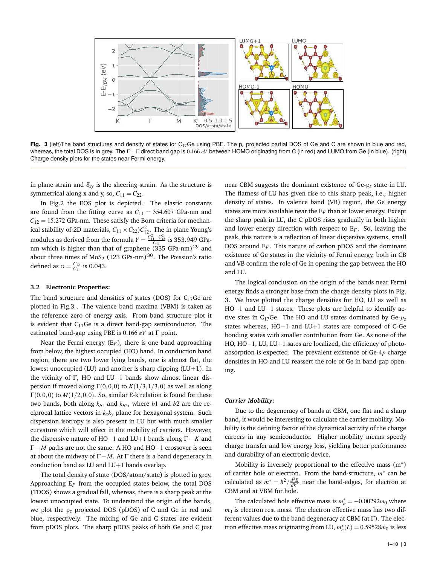

**Fig. 3** (left)The band structures and density of states for C<sub>17</sub>Ge using PBE. The  $p<sub>r</sub>$  projected partial DOS of Ge and C are shown in blue and red, whereas, the total DOS is in grey. The Γ−Γ direct band gap is 0.166 *eV* between HOMO originating from C (in red) and LUMO from Ge (in blue). (right) Charge density plots for the states near Fermi energy.

in plane strain and  $\delta_{xy}$  is the sheering strain. As the structure is symmetrical along x and y, so,  $C_{11} = C_{22}$ .

In Fig.2 the EOS plot is depicted. The elastic constants are found from the fitting curve as  $C_{11} = 354.607$  GPa-nm and  $C_{12} = 15.272$  GPa-nm. These satisfy the Born criteria for mechanical stability of 2D materials,  $C_{11} \times C_{22} \rangle C_{12}^2$ . The in plane Young's modulus as derived from the formula  $Y = \frac{C_{11}^2 - C_{12}^2}{C_{11}}$  is 353.949 GPanm which is higher than that of graphene  $(335 \text{ GPa-nm})^{29}$  and about three times of MoS<sub>2</sub> (123 GPa-nm)<sup>30</sup>. The Poission's ratio defined as  $v = \frac{C_{12}}{C_{11}}$  is 0.043.

#### **3.2 Electronic Properties:**

The band structure and densities of states (DOS) for  $C_{17}$ Ge are plotted in Fig.3 . The valence band maxima (VBM) is taken as the reference zero of energy axis. From band structure plot it is evident that  $C_{17}Ge$  is a direct band-gap semiconductor. The estimated band-gap using PBE is 0.166 *eV* at Γ point.

Near the Fermi energy  $(E_F)$ , there is one band approaching from below, the highest occupied (HO) band. In conduction band region, there are two lower lying bands, one is almost flat, the lowest unoccupied (LU) and another is sharp dipping  $(LU+1)$ . In the vicinity of Γ, HO and LU+1 bands show almost linear dispersion if moved along  $\Gamma(0,0,0)$  to  $K(1/3,1/3,0)$  as well as along  $\Gamma(0,0,0)$  to  $M(1/2,0,0)$ . So, similar E-k relation is found for these two bands, both along  $k_{b1}$  and  $k_{b2}$ , where  $b1$  and  $b2$  are the reciprocal lattice vectors in *kxk<sup>y</sup>* plane for hexagonal system. Such dispersion isotropy is also present in LU but with much smaller curvature which will affect in the mobility of carriers. However, the dispersive nature of HO−1 and LU+1 bands along Γ−*K* and Γ− *M* paths are not the same. A HO and HO−1 crossover is seen at about the midway of  $\Gamma$  − *M*. At  $\Gamma$  there is a band degeneracy in conduction band as LU and LU+1 bands overlap.

The total density of state (DOS/atom/state) is plotted in grey. Approaching  $E_F$  from the occupied states below, the total DOS (TDOS) shows a gradual fall, whereas, there is a sharp peak at the lowest unoccupied state. To understand the origin of the bands, we plot the p*<sup>z</sup>* projected DOS (pDOS) of C and Ge in red and blue, respectively. The mixing of Ge and C states are evident from pDOS plots. The sharp pDOS peaks of both Ge and C just near CBM suggests the dominant existence of Ge-p*<sup>z</sup>* state in LU. The flatness of LU has given rise to this sharp peak, i.e., higher density of states. In valence band (VB) region, the Ge energy states are more available near the  $E_F$  than at lower energy. Except the sharp peak in LU, the C pDOS rises gradually in both higher and lower energy direction with respect to  $E_F$ . So, leaving the peak, this nature is a reflection of linear dispersive systems, small DOS around E*<sup>F</sup>* . This nature of carbon pDOS and the dominant existence of Ge states in the vicinity of Fermi energy, both in CB and VB confirm the role of Ge in opening the gap between the HO and LU.

The logical conclusion on the origin of the bands near Fermi energy finds a stronger base from the charge density plots in Fig. 3. We have plotted the charge densities for HO, LU as well as HO−1 and LU+1 states. These plots are helpful to identify active sites in C<sub>17</sub>Ge. The HO and LU states dominated by Ge- $p_z$ states whereas, HO−1 and LU+1 states are composed of C-Ge bonding states with smaller contribution from Ge. As none of the HO, HO−1, LU, LU+1 sates are localized, the efficiency of photoabsorption is expected. The prevalent existence of Ge-4*p* charge densities in HO and LU reassert the role of Ge in band-gap opening.

### *Carrier Mobility:*

Due to the degeneracy of bands at CBM, one flat and a sharp band, it would be interesting to calculate the carrier mobility. Mobility is the defining factor of the dynamical activity of the charge careers in any semiconductor. Higher mobility means speedy charge transfer and low energy loss, yielding better performance and durability of an electronic device.

Mobility is inversely proportional to the effective mass  $(m^*)$ of carrier hole or electron. From the band-structure, *m* ∗ can be calculated as  $m^* = \hbar^2 / \frac{d^2 E}{dk^2}$  near the band-edges, for electron at CBM and at VBM for hole.

The calculated hole effective mass is  $m_h^* = -0.00292m_0$  where  $m<sub>0</sub>$  is electron rest mass. The electron effective mass has two different values due to the band degeneracy at CBM (at Γ). The electron effective mass originating from LU,  $m_e^*(L) = 0.59528 m_0$  is less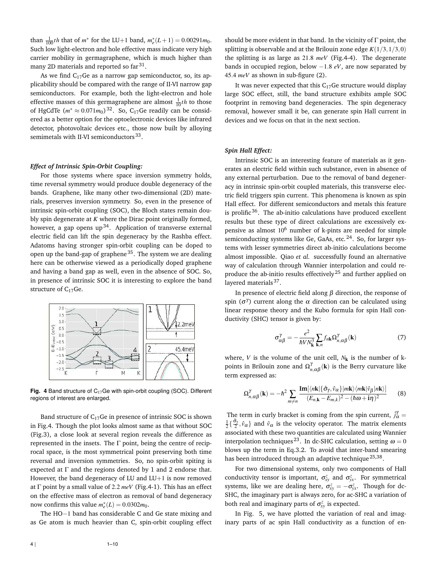than  $\frac{1}{100}$ *th* that of *m*<sup>\*</sup> for the LU+1 band,  $m_e^*(L+1) = 0.00291m_0$ . Such low light-electron and hole effective mass indicate very high carrier mobility in germagraphene, which is much higher than many 2D materials and reported so far $^{31}$ .

As we find  $C_{17}$ Ge as a narrow gap semiconductor, so, its applicability should be compared with the range of II-VI narrow gap semiconductors. For example, both the light-electron and hole effective masses of this germagraphene are almost  $\frac{1}{10}$ <sup>th</sup> to those of HgCdTe  $(m^* \approx 0.071m_0)^{32}$ . So, C<sub>17</sub>Ge readily can be considered as a better option for the optoelectronic devices like infrared detector, photovoltaic devices etc., those now built by alloying semimetals with II-VI semiconductors<sup>33</sup>.

#### *Effect of Intrinsic Spin-Orbit Coupling:*

For those systems where space inversion symmetry holds, time reversal symmetry would produce double degeneracy of the bands. Graphene, like many other two-dimensional (2D) materials, preserves inversion symmetry. So, even in the presence of intrinsic spin-orbit coupling (SOC), the Bloch states remain doubly spin degenerate at *K* where the Dirac point originally formed, however, a gap opens up<sup>34</sup>. Application of transverse external electric field can lift the spin degeneracy by the Rashba effect. Adatoms having stronger spin-orbit coupling can be doped to open up the band-gap of graphene<sup>35</sup>. The system we are dealing here can be otherwise viewed as a periodically doped graphene and having a band gap as well, even in the absence of SOC. So, in presence of intrinsic SOC it is interesting to explore the band structure of  $C_{17}Ge$ .



**Fig. 4** Band structure of  $C_{17}$ Ge with spin-orbit coupling (SOC). Different regions of interest are enlarged.

Band structure of  $C_{17}$ Ge in presence of intrinsic SOC is shown in Fig.4. Though the plot looks almost same as that without SOC (Fig.3), a close look at several region reveals the difference as represented in the insets. The Γ point, being the centre of reciprocal space, is the most symmetrical point preserving both time reversal and inversion symmetries. So, no spin-orbit spiting is expected at  $\Gamma$  and the regions denoted by 1 and 2 endorse that. However, the band degeneracy of LU and LU+1 is now removed at Γ point by a small value of 2.2 *meV* (Fig.4-1). This has an effect on the effective mass of electron as removal of band degeneracy now confirms this value  $m_e^*(L) = 0.0302m_0$ .

The HO−1 band has considerable C and Ge state mixing and as Ge atom is much heavier than C, spin-orbit coupling effect

It was never expected that this  $C_{17}$ Ge structure would display large SOC effect, still, the band structure exhibits ample SOC footprint in removing band degeneracies. The spin degeneracy removal, however small it be, can generate spin Hall current in devices and we focus on that in the next section.

#### *Spin Hall Effect:*

Intrinsic SOC is an interesting feature of materials as it generates an electric field within such substance, even in absence of any external perturbation. Due to the removal of band degeneracy in intrinsic spin-orbit coupled materials, this transverse electric field triggers spin current. This phenomena is known as spin Hall effect. For different semiconductors and metals this feature is prolific $36$ . The ab-initio calculations have produced excellent results but these type of direct calculations are excessively expensive as almost 10<sup>6</sup> number of k-pints are needed for simple semiconducting systems like Ge, GaAs, etc. $24$ . So, for larger systems with lesser symmetries direct ab-initio calculations become almost impossible. Qiao *et al.* successfully found an alternative way of calculation through Wannier interpolation and could reproduce the ab-initio results effectively<sup>25</sup> and further applied on layered materials<sup>37</sup>.

In presence of electric field along β direction, the response of spin ( $\sigma^{\gamma}$ ) current along the  $\alpha$  direction can be calculated using linear response theory and the Kubo formula for spin Hall conductivity (SHC) tensor is given by:

$$
\sigma_{\alpha\beta}^{\gamma} = -\frac{e^2}{\hbar V N_{\mathbf{k}}^3} \sum_{\mathbf{k},n} f_{n\mathbf{k}} \Omega_{n,\alpha\beta}^{\gamma}(\mathbf{k})
$$
 (7)

where, *V* is the volume of the unit cell,  $N_k$  is the number of kpoints in Brilouin zone and  $\Omega_{n,\alpha\beta}^{\gamma}(\mathbf{k})$  is the Berry curvature like term expressed as:

$$
\Omega_{n,\alpha\beta}^{\gamma}(\mathbf{k}) = -\hbar^2 \sum_{m \neq n} \frac{\text{Im}[\langle n\mathbf{k} | {\{\hat{\sigma}_{\gamma}, \hat{v}_{\alpha}\}} | m\mathbf{k} \rangle \langle m\mathbf{k} | \hat{v}_{\beta} | n\mathbf{k} \rangle]}{(E_{n,\mathbf{k}} - E_{m,\mathbf{k}})^2 - (\hbar \omega + \mathbf{i}\eta)^2}
$$
(8)

The term in curly bracket is coming from the spin current,  $\hat{j}_\alpha^\gamma =$  $\frac{1}{2} \{\frac{\hat{\sigma}_\gamma}{2}, \hat{v}_\alpha\}$  and  $\hat{v}_\alpha$  is the velocity operator. The matrix elements associated with these two quantities are calculated using Wannier interpolation techniques  $^{23}.$  In dc-SHC calculation, setting  $\omega=0$ blows up the term in Eq.3.2. To avoid that inter-band smearing has been introduced through an adaptive technique <sup>25,38</sup>.

For two dimensional systems, only two components of Hall conductivity tensor is important,  $\sigma_{xy}^z$  and  $\sigma_{yx}^z$ . For symmetrical systems, like we are dealing here,  $\sigma_{xy}^z = -\sigma_{yx}^z$ . Though for dc-SHC, the imaginary part is always zero, for ac-SHC a variation of both real and imaginary parts of  $\sigma_{xy}^z$  is expected.

In Fig. 5, we have plotted the variation of real and imaginary parts of ac spin Hall conductivity as a function of en-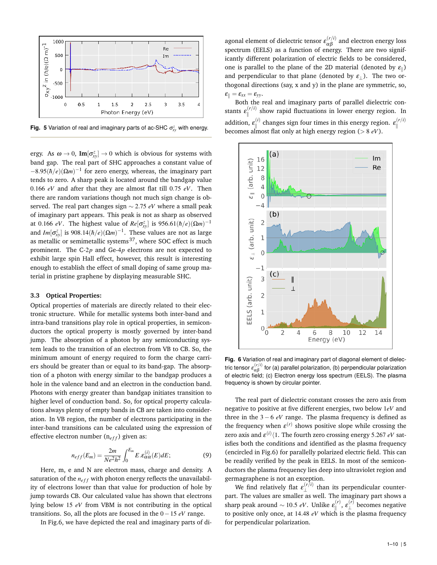

**Fig. 5** Variation of real and imaginary parts of ac-SHC  $\sigma_{xy}^z$  with energy.

ergy. As  $\omega \to 0$ ,  $\text{Im}[\sigma_{xy}^z] \to 0$  which is obvious for systems with band gap. The real part of SHC approaches a constant value of  $-8.95(\hbar/e)(\Omega m)^{-1}$  for zero energy, whereas, the imaginary part tends to zero. A sharp peak is located around the bandgap value 0.166 *eV* and after that they are almost flat till 0.75 *eV*. Then there are random variations though not much sign change is observed. The real part changes sign ∼ 2.75 *eV* where a small peak of imaginary part appears. This peak is not as sharp as observed at 0.166 *eV*. The highest value of  $Re[\sigma_{xy}^z]$  is 956.61( $\hbar/e$ )( $\Omega m$ )<sup>-1</sup> and *Im*[ $\sigma_{xy}^z$ ] is 908.14( $\hbar/e$ )( $\Omega m$ )<sup>-1</sup>. These values are not as large as metallic or semimetallic systems<sup>37</sup>, where SOC effect is much prominent. The C-2*p* and Ge-4*p* electrons are not expected to exhibit large spin Hall effect, however, this result is interesting enough to establish the effect of small doping of same group material in pristine graphene by displaying measurable SHC.

#### **3.3 Optical Properties:**

Optical properties of materials are directly related to their electronic structure. While for metallic systems both inter-band and intra-band transitions play role in optical properties, in semiconductors the optical property is mostly governed by inter-band jump. The absorption of a photon by any semiconducting system leads to the transition of an electron from VB to CB. So, the minimum amount of energy required to form the charge carriers should be greater than or equal to its band-gap. The absorption of a photon with energy similar to the bandgap produces a hole in the valence band and an electron in the conduction band. Photons with energy greater than bandgap initiates transition to higher level of conduction band. So, for optical property calculations always plenty of empty bands in CB are taken into consideration. In VB region, the number of electrons participating in the inter-band transitions can be calculated using the expression of effective electron number  $(n<sub>eff</sub>)$  given as:

$$
n_{eff}(E_m) = \frac{2m}{Ne^2h^2} \int_0^{E_m} E \cdot \varepsilon_{\alpha\alpha}^{(i)}(E) dE; \tag{9}
$$

Here, m, e and N are electron mass, charge and density. A saturation of the  $n_{eff}$  with photon energy reflects the unavailability of electrons lower than that value for production of hole by jump towards CB. Our calculated value has shown that electrons lying below 15 *eV* from VBM is not contributing in the optical transitions. So, all the plots are focused in the 0−15 *eV* range.

In Fig.6, we have depicted the real and imaginary parts of di-

agonal element of dielectric tensor  $\varepsilon^{(r/i)}_{\alpha\beta}$  and electron energy loss spectrum (EELS) as a function of energy. There are two significantly different polarization of electric fields to be considered, one is parallel to the plane of the 2D material (denoted by  $\varepsilon_{\parallel}$ ) and perpendicular to that plane (denoted by  $\varepsilon_{\perp}$ ). The two orthogonal directions (say, x and y) in the plane are symmetric, so,  $\varepsilon_{\parallel} = \varepsilon_{xx} = \varepsilon_{yy}.$ 

Both the real and imaginary parts of parallel dielectric constants  $\varepsilon_{\parallel}^{(r/i)}$  $\mathbb{R}^{(r/t)}$  show rapid fluctuations in lower energy region. In addition, <sup>ε</sup> (*i*)  $\mathbf{e}_{\parallel}^{(i)}$  changes sign four times in this energy region.  $\boldsymbol{\epsilon}_{\parallel}^{(r/i)}$ ll becomes almost flat only at high energy region (> 8 *eV*).



Fig. 6 Variation of real and imaginary part of diagonal element of dielectric tensor  $\varepsilon^{(r/i)}_{\alpha\beta}$  for (a) parallel polarization, (b) perpendicular polarization of electric field; (c) Electron energy loss spectrum (EELS). The plasma frequency is shown by circular pointer.

The real part of dielectric constant crosses the zero axis from negative to positive at five different energies, two below 1*eV* and three in the 3 − 6 *eV* range. The plasma frequency is defined as the frequency when  $\varepsilon^{(r)}$  shows positive slope while crossing the zero axis and  $\varepsilon^{(i)}\langle 1.$  The fourth zero crossing energy 5.267  $eV$  satisfies both the conditions and identified as the plasma frequency (encircled in Fig.6) for parallelly polarized electric field. This can be readily verified by the peak in EELS. In most of the semiconductors the plasma frequency lies deep into ultraviolet region and germagraphene is not an exception.

We find relatively flat  $\varepsilon^{(r/i)}$  $\mathcal{L}^{(r)}$  than its perpendicular counterpart. The values are smaller as well. The imaginary part shows a sharp peak around  $\sim 10.5 \text{ eV}$ . Unlike  $\epsilon_{\shortparallel}^{(r)}$ k , <sup>ε</sup> (*r*)  $\perp$ <sup>(r)</sup> becomes negative to positive only once, at 14.48 *eV* which is the plasma frequency for perpendicular polarization.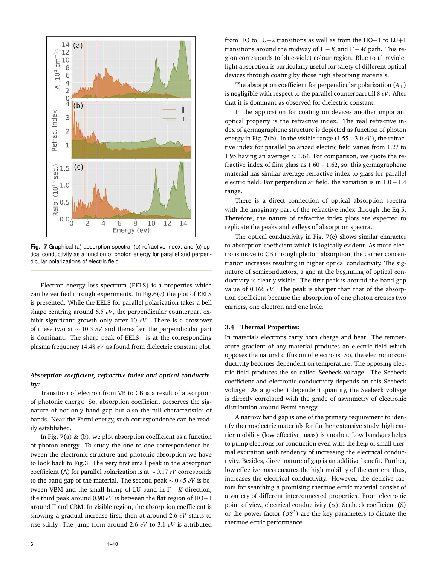

**Fig. 7** Graphical (a) absorption spectra, (b) refractive index, and (c) optical conductivity as a function of photon energy for parallel and perpendicular polarizations of electric field.

Electron energy loss spectrum (EELS) is a properties which can be verified through experiments. In Fig.6(c) the plot of EELS is presented. While the EELS for parallel polarization takes a bell shape centring around 6.5 *eV*, the perpendicular counterpart exhibit significant growth only after 10 *eV*. There is a crossover of these two at ∼ 10.3 *eV* and thereafter, the perpendicular part is dominant. The sharp peak of  $EELS_{\perp}$  is at the corresponding plasma frequency 14.48 *eV* as found from dielectric constant plot.

### *Absorption coefficient, refractive index and optical conductivity:*

Transition of electron from VB to CB is a result of absorption of photonic energy. So, absorption coefficient preserves the signature of not only band gap but also the full characteristics of bands. Near the Fermi energy, such correspondence can be readily established.

In Fig. 7(a)  $\&$  (b), we plot absorption coefficient as a function of photon energy. To study the one to one correspondence between the electronic structure and photonic absorption we have to look back to Fig.3. The very first small peak in the absorption coefficient (A) for parallel polarization is at ∼ 0.17 *eV* corresponds to the band gap of the material. The second peak ∼ 0.45 *eV* is between VBM and the small hump of LU band in  $\Gamma - K$  direction, the third peak around 0.90 *eV* is between the flat region of HO−1 around Γ and CBM. In visible region, the absorption coefficient is showing a gradual increase first, then at around 2.6 *eV* starts to rise stiffly. The jump from around 2.6 *eV* to 3.1 *eV* is attributed from HO to LU+2 transitions as well as from the HO−1 to LU+1 transitions around the midway of Γ−*K* and Γ− *M* path. This region corresponds to blue-violet colour region. Blue to ultraviolet light absorption is particularly useful for safety of different optical devices through coating by those high absorbing materials.

The absorption coefficient for perpendicular polarization  $(A_+)$ is negligible with respect to the parallel counterpart till 8 *eV*. After that it is dominant as observed for dielectric constant.

In the application for coating on devices another important optical property is the refractive index. The real refractive index of germagraphene structure is depicted as function of photon energy in Fig. 7(b). In the visible range (1.55−3.0 *eV*), the refractive index for parallel polarized electric field varies from 1.27 to 1.95 having an average  $\approx$  1.64. For comparison, we quote the refractive index of flint glass as 1.60−1.62, so, this germagraphene material has similar average refractive index to glass for parallel electric field. For perpendicular field, the variation is in 1.0−1.4 range.

There is a direct connection of optical absorption spectra with the imaginary part of the refractive index through the Eq.5. Therefore, the nature of refractive index plots are expected to replicate the peaks and valleys of absorption spectra.

The optical conductivity in Fig. 7(c) shows similar character to absorption coefficient which is logically evident. As more electrons move to CB through photon absorption, the carrier concentration increases resulting in higher optical conductivity. The signature of semiconductors, a gap at the beginning of optical conductivity is clearly visible. The first peak is around the band-gap value of 0.166 *eV*. The peak is sharper than that of the absorption coefficient because the absorption of one photon creates two carriers, one electron and one hole.

### **3.4 Thermal Properties:**

In materials electrons carry both charge and heat. The temperature gradient of any material produces an electric field which opposes the natural diffusion of electrons. So, the electronic conductivity becomes dependent on temperature. The opposing electric field produces the so called Seebeck voltage. The Seebeck coefficient and electronic conductivity depends on this Seebeck voltage. As a gradient dependent quantity, the Seebeck voltage is directly correlated with the grade of asymmetry of electronic distribution around Fermi energy.

A narrow band gap is one of the primary requirement to identify thermoelectric materials for further extensive study, high carrier mobility (low effective mass) is another. Low bandgap helps to pump electrons for conduction even with the help of small thermal excitation with tendency of increasing the electrical conductivity. Besides, direct nature of gap is an additive benefit. Further, low effective mass ensures the high mobility of the carriers, thus, increases the electrical conductivity. However, the decisive factors for searching a promising thermoelectric material consist of a variety of different interconnected properties. From electronic point of view, electrical conductivity  $(σ)$ , Seebeck coefficient (S) or the power factor ( $\sigma S^2$ ) are the key parameters to dictate the thermoelectric performance.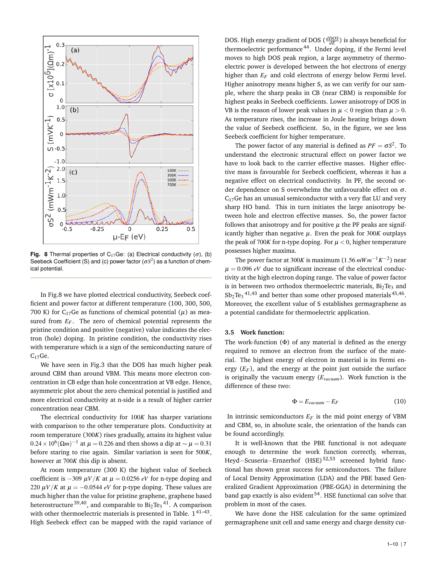

**Fig. 8** Thermal properties of C<sub>17</sub>Ge: (a) Electrical conductivity  $(\sigma)$ , (b) Seebeck Coefficient (S) and (c) power factor  $(\sigma S^2)$  as a function of chemical potential.

In Fig.8 we have plotted electrical conductivity, Seebeck coefficient and power factor at different temperature (100, 300, 500, 700 K) for C<sub>17</sub>Ge as functions of chemical potential ( $\mu$ ) as measured from  $E_F$ . The zero of chemical potential represents the pristine condition and positive (negative) value indicates the electron (hole) doping. In pristine condition, the conductivity rises with temperature which is a sign of the semiconducting nature of  $C<sub>17</sub>Ge.$ 

We have seen in Fig.3 that the DOS has much higher peak around CBM than around VBM. This means more electron concentration in CB edge than hole concentration at VB edge. Hence, asymmetric plot about the zero chemical potential is justified and more electrical conductivity at n-side is a result of higher carrier concentration near CBM.

The electrical conductivity for 100*K* has sharper variations with comparison to the other temperature plots. Conductivity at room temperature (300*K*) rises gradually, attains its highest value  $0.24 \times 10^6 (\Omega m)^{-1}$  at  $\mu = 0.226$  and then shows a dip at  $\sim \mu = 0.31$ before staring to rise again. Similar variation is seen for 500*K*, however at 700*K* this dip is absent.

At room temperature (300 K) the highest value of Seebeck coefficient is  $-309 \mu V/K$  at  $\mu = 0.0256$  *eV* for n-type doping and 220  $\mu$ *V*/*K* at  $\mu$  = −0.0544 *eV* for p-type doping. These values are much higher than the value for pristine graphene, graphene based heterostructure $^{39,40}$ , and comparable to Bi $_2$ Te $_3$ <sup>41</sup>. A comparison with other thermoelectric materials is presented in Table.  $1^{41-43}$ . High Seebeck effect can be mapped with the rapid variance of

DOS. High energy gradient of DOS ( *dDOS dE* ) is always beneficial for thermoelectric performance <sup>44</sup>. Under doping, if the Fermi level moves to high DOS peak region, a large asymmetry of thermoelectric power is developed between the hot electrons of energy higher than  $E_F$  and cold electrons of energy below Fermi level. Higher anisotropy means higher S, as we can verify for our sample, where the sharp peaks in CB (near CBM) is responsible for highest peaks in Seebeck coefficients. Lower anisotropy of DOS in VB is the reason of lower peak values in  $\mu < 0$  region than  $\mu > 0$ . As temperature rises, the increase in Joule heating brings down the value of Seebeck coefficient. So, in the figure, we see less Seebeck coefficient for higher temperature.

The power factor of any material is defined as  $PF = \sigma S^2$ . To understand the electronic structural effect on power factor we have to look back to the carrier effective masses. Higher effective mass is favourable for Seebeck coefficient, whereas it has a negative effect on electrical conductivity. In PF, the second order dependence on S overwhelms the unfavourable effect on <sup>σ</sup>.  $C_{17}$ Ge has an unusual semiconductor with a very flat LU and very sharp HO band. This in turn initiates the large anisotropy between hole and electron effective masses. So, the power factor follows that anisotropy and for positive  $\mu$  the PF peaks are significantly higher than negative  $\mu$ . Even the peak for 300K outplays the peak of 700 $K$  for n-type doping. For  $\mu < 0$ , higher temperature possesses higher maxima.

The power factor at 300*K* is maximum (1.56 *mWm*−1*K* −2 ) near  $\mu = 0.096$  *eV* due to significant increase of the electrical conductivity at the high electron doping range. The value of power factor is in between two orthodox thermoelectric materials,  $Bi<sub>2</sub>Te<sub>3</sub>$  and  $Sb_2Te_3$ <sup>41,43</sup> and better than some other proposed materials<sup>45,46</sup>. Moreover, the excellent value of S establishes germagraphene as a potential candidate for thermoelectric application.

### **3.5 Work function:**

The work-function  $(\Phi)$  of any material is defined as the energy required to remove an electron from the surface of the material. The highest energy of electron in material is its Fermi energy  $(E_F)$ , and the energy at the point just outside the surface is originally the vacuum energy (*Evacuum*). Work function is the difference of these two:

$$
\Phi = E_{vacuum} - E_F \tag{10}
$$

In intrinsic semiconductors *E<sup>F</sup>* is the mid point energy of VBM and CBM, so, in absolute scale, the orientation of the bands can be found accordingly.

It is well-known that the PBE functional is not adequate enough to determine the work function correctly, whereas, Heyd−Scuseria−Ernzerhof (HSE) 52,53 screened hybrid functional has shown great success for semiconductors. The failure of Local Density Approximation (LDA) and the PBE based Generalized Gradient Approximation (PBE-GGA) in determining the band gap exactly is also evident  $54$ . HSE functional can solve that problem in most of the cases.

We have done the HSE calculation for the same optimized germagraphene unit cell and same energy and charge density cut-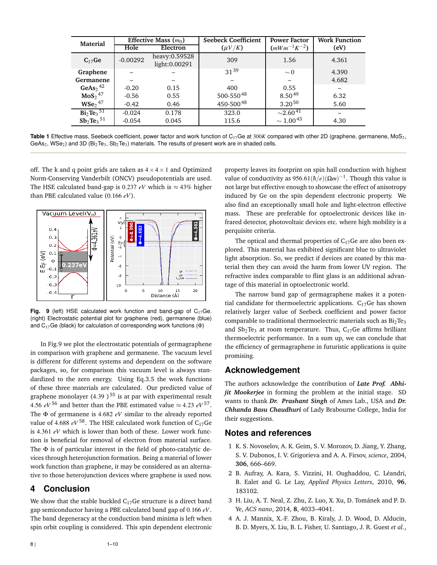| Material                        | Effective Mass $(m_0)$ |                                | <b>Seebeck Coefficient</b> | <b>Power Factor</b>       | <b>Work Function</b> |
|---------------------------------|------------------------|--------------------------------|----------------------------|---------------------------|----------------------|
|                                 | Hole                   | Electron                       | $(\mu V/K)$                | $(mWm^{-1}K^{-2})$        | (eV)                 |
| $C_{17}Ge$                      | $-0.00292$             | heavy:0.59528<br>light:0.00291 | 309                        | 1.56                      | 4.361                |
| Graphene                        |                        |                                | $31^{39}$                  | $\sim$ 0                  | 4.390                |
| Germanene                       |                        |                                |                            |                           | 4.682                |
| GeAs <sub>2</sub> <sup>42</sup> | $-0.20$                | 0.15                           | 400                        | 0.55                      |                      |
| MoS <sub>2</sub> <sup>47</sup>  | $-0.56$                | 0.55                           | 500-55048                  | 8.5049                    | 6.32                 |
| $WSe2$ <sup>47</sup>            | $-0.42$                | 0.46                           | 450-50048                  | $3.20^{50}$               | 5.60                 |
| $Bi_2Te_3$ <sup>51</sup>        | $-0.024$               | 0.178                          | 323.0                      | $\sim$ 2.60 <sup>41</sup> |                      |
| $Sb_2Te_3^{51}$                 | $-0.054$               | 0.045                          | 115.6                      | $\sim 1.00^{43}$          | 4.30                 |

Table 1 Effective mass, Seebeck coefficient, power factor and work function of C<sub>17</sub>Ge at 300*K* compared with other 2D (graphene, germanene, MoS<sub>2</sub>, GeAs<sub>2</sub>, WSe<sub>2</sub>) and 3D (Bi<sub>2</sub>Te<sub>3</sub>, Sb<sub>2</sub>Te<sub>3</sub>) materials. The results of present work are in shaded cells.

off. The k and q point grids are taken as  $4 \times 4 \times 1$  and Optimized Norm-Conserving Vanderbilt (ONCV) pseudopotentials are used. The HSE calculated band-gap is 0.237 *eV* which is  $\approx$  43% higher than PBE calculated value (0.166 *eV*).



**Fig. 9** (left) HSE calculated work function and band-gap of C<sub>17</sub>Ge. (right) Electrostatic potential plot for graphene (red), germanene (blue) and  $C_{17}$ Ge (black) for calculation of corresponding work functions ( $\Phi$ )

In Fig.9 we plot the electrostatic potentials of germagraphene in comparison with graphene and germanene. The vacuum level is different for different systems and dependent on the software packages, so, for comparison this vacuum level is always standardized to the zero energy. Using Eq.3.5 the work functions of these three materials are calculated. Our predicted value of graphene monolayer (4.39)<sup>55</sup> is at par with experimental result 4.56  $eV^{56}$  and better than the PBE estimated value  $\approx$  4.23  $eV^{57}$ . The Φ of germanene is 4.682 *eV* similar to the already reported value of 4.688  $eV^{58}$ . The HSE calculated work function of C<sub>17</sub>Ge is 4.361 *eV* which is lower than both of these. Lower work function is beneficial for removal of electron from material surface. The Φ is of particular interest in the field of photo-catalytic devices through heterojunction formation. Being a material of lower work function than graphene, it may be considered as an alternative to those heterojunction devices where graphene is used now.

# **4 Conclusion**

We show that the stable buckled  $C_{17}$ Ge structure is a direct band gap semiconductor having a PBE calculated band gap of 0.166 *eV*. The band degeneracy at the conduction band minima is left when spin orbit coupling is considered. This spin dependent electronic property leaves its footprint on spin hall conduction with highest value of conductivity as 956.61 $(\hbar/e)(\Omega m)^{-1}$ . Though this value is not large but effective enough to showcase the effect of anisotropy induced by Ge on the spin dependent electronic property. We also find an exceptionally small hole and light-electron effective mass. These are preferable for optoelectronic devices like infrared detector, photovoltaic devices etc. where high mobility is a perquisite criteria.

The optical and thermal properties of  $C_{17}$ Ge are also been explored. This material has exhibited significant blue to ultraviolet light absorption. So, we predict if devices are coated by this material then they can avoid the harm from lower UV region. The refractive index comparable to flint glass is an additional advantage of this material in optoelectronic world.

The narrow band gap of germagraphene makes it a potential candidate for thermoelectric applications.  $C_{17}$ Ge has shown relatively larger value of Seebeck coefficient and power factor comparable to traditional thermoelectric materials such as  $Bi<sub>2</sub>Te<sub>3</sub>$ and  $Sb_2Te_3$  at room temperature. Thus,  $C_{17}Ge$  affirms brilliant thermoelectric performance. In a sum up, we can conclude that the efficiency of germagraphene in futuristic applications is quite promising.

# **Acknowledgement**

The authors acknowledge the contribution of *Late Prof. Abhijit Mookerjee* in forming the problem at the initial stage. SD wants to thank *Dr. Prashant Singh* of Ames Lab., USA and *Dr. Chhanda Basu Chaudhuri* of Lady Brabourne College, India for their suggestions.

# **Notes and references**

- 1 K. S. Novoselov, A. K. Geim, S. V. Morozov, D. Jiang, Y. Zhang, S. V. Dubonos, I. V. Grigorieva and A. A. Firsov, *science*, 2004, **306**, 666–669.
- 2 B. Aufray, A. Kara, S. Vizzini, H. Oughaddou, C. Léandri, B. Ealet and G. Le Lay, *Applied Physics Letters*, 2010, **96**, 183102.
- 3 H. Liu, A. T. Neal, Z. Zhu, Z. Luo, X. Xu, D. Tománek and P. D. Ye, *ACS nano*, 2014, **8**, 4033–4041.
- 4 A. J. Mannix, X.-F. Zhou, B. Kiraly, J. D. Wood, D. Alducin, B. D. Myers, X. Liu, B. L. Fisher, U. Santiago, J. R. Guest *et al.*,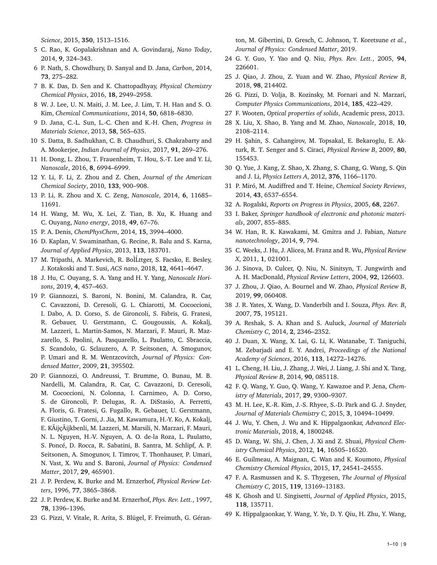*Science*, 2015, **350**, 1513–1516.

- 5 C. Rao, K. Gopalakrishnan and A. Govindaraj, *Nano Today*, 2014, **9**, 324–343.
- 6 P. Nath, S. Chowdhury, D. Sanyal and D. Jana, *Carbon*, 2014, **73**, 275–282.
- 7 B. K. Das, D. Sen and K. Chattopadhyay, *Physical Chemistry Chemical Physics*, 2016, **18**, 2949–2958.
- 8 W. J. Lee, U. N. Maiti, J. M. Lee, J. Lim, T. H. Han and S. O. Kim, *Chemical Communications*, 2014, **50**, 6818–6830.
- 9 D. Jana, C.-L. Sun, L.-C. Chen and K.-H. Chen, *Progress in Materials Science*, 2013, **58**, 565–635.
- 10 S. Datta, B. Sadhukhan, C. B. Chaudhuri, S. Chakrabarty and A. Mookerjee, *Indian Journal of Physics*, 2017, **91**, 269–276.
- 11 H. Dong, L. Zhou, T. Frauenheim, T. Hou, S.-T. Lee and Y. Li, *Nanoscale*, 2016, **8**, 6994–6999.
- 12 Y. Li, F. Li, Z. Zhou and Z. Chen, *Journal of the American Chemical Society*, 2010, **133**, 900–908.
- 13 P. Li, R. Zhou and X. C. Zeng, *Nanoscale*, 2014, **6**, 11685– 11691.
- 14 H. Wang, M. Wu, X. Lei, Z. Tian, B. Xu, K. Huang and C. Ouyang, *Nano energy*, 2018, **49**, 67–76.
- 15 P. A. Denis, *ChemPhysChem*, 2014, **15**, 3994–4000.
- 16 D. Kaplan, V. Swaminathan, G. Recine, R. Balu and S. Karna, *Journal of Applied Physics*, 2013, **113**, 183701.
- 17 M. Tripathi, A. Markevich, R. BolLttger, S. Facsko, E. Besley, J. Kotakoski and T. Susi, *ACS nano*, 2018, **12**, 4641–4647.
- 18 J. Hu, C. Ouyang, S. A. Yang and H. Y. Yang, *Nanoscale Horizons*, 2019, **4**, 457–463.
- 19 P. Giannozzi, S. Baroni, N. Bonini, M. Calandra, R. Car, C. Cavazzoni, D. Ceresoli, G. L. Chiarotti, M. Cococcioni, I. Dabo, A. D. Corso, S. de Gironcoli, S. Fabris, G. Fratesi, R. Gebauer, U. Gerstmann, C. Gougoussis, A. Kokalj, M. Lazzeri, L. Martin-Samos, N. Marzari, F. Mauri, R. Mazzarello, S. Paolini, A. Pasquarello, L. Paulatto, C. Sbraccia, S. Scandolo, G. Sclauzero, A. P. Seitsonen, A. Smogunov, P. Umari and R. M. Wentzcovitch, *Journal of Physics: Condensed Matter*, 2009, **21**, 395502.
- 20 P. Giannozzi, O. Andreussi, T. Brumme, O. Bunau, M. B. Nardelli, M. Calandra, R. Car, C. Cavazzoni, D. Ceresoli, M. Cococcioni, N. Colonna, I. Carnimeo, A. D. Corso, S. de Gironcoli, P. Delugas, R. A. DiStasio, A. Ferretti, A. Floris, G. Fratesi, G. Fugallo, R. Gebauer, U. Gerstmann, F. Giustino, T. Gorni, J. Jia, M. Kawamura, H.-Y. Ko, A. Kokalj, E. KÃijçÃijkbenli, M. Lazzeri, M. Marsili, N. Marzari, F. Mauri, N. L. Nguyen, H.-V. Nguyen, A. O. de-la Roza, L. Paulatto, S. Poncé, D. Rocca, R. Sabatini, B. Santra, M. Schlipf, A. P. Seitsonen, A. Smogunov, I. Timrov, T. Thonhauser, P. Umari, N. Vast, X. Wu and S. Baroni, *Journal of Physics: Condensed Matter*, 2017, **29**, 465901.
- 21 J. P. Perdew, K. Burke and M. Ernzerhof, *Physical Review Letters*, 1996, **77**, 3865–3868.
- 22 J. P. Perdew, K. Burke and M. Ernzerhof, *Phys. Rev. Lett.*, 1997, **78**, 1396–1396.
- 23 G. Pizzi, V. Vitale, R. Arita, S. Blügel, F. Freimuth, G. Géran-

ton, M. Gibertini, D. Gresch, C. Johnson, T. Koretsune *et al.*, *Journal of Physics: Condensed Matter*, 2019.

- 24 G. Y. Guo, Y. Yao and Q. Niu, *Phys. Rev. Lett.*, 2005, **94**, 226601.
- 25 J. Qiao, J. Zhou, Z. Yuan and W. Zhao, *Physical Review B*, 2018, **98**, 214402.
- 26 G. Pizzi, D. Volja, B. Kozinsky, M. Fornari and N. Marzari, *Computer Physics Communications*, 2014, **185**, 422–429.
- 27 F. Wooten, *Optical properties of solids*, Academic press, 2013.
- 28 X. Liu, X. Shao, B. Yang and M. Zhao, *Nanoscale*, 2018, **10**, 2108–2114.
- 29 H. Şahin, S. Cahangirov, M. Topsakal, E. Bekaroglu, E. Akturk, R. T. Senger and S. Ciraci, *Physical Review B*, 2009, **80**, 155453.
- 30 Q. Yue, J. Kang, Z. Shao, X. Zhang, S. Chang, G. Wang, S. Qin and J. Li, *Physics Letters A*, 2012, **376**, 1166–1170.
- 31 P. Miró, M. Audiffred and T. Heine, *Chemical Society Reviews*, 2014, **43**, 6537–6554.
- 32 A. Rogalski, *Reports on Progress in Physics*, 2005, **68**, 2267.
- 33 I. Baker, *Springer handbook of electronic and photonic materials*, 2007, 855–885.
- 34 W. Han, R. K. Kawakami, M. Gmitra and J. Fabian, *Nature nanotechnology*, 2014, **9**, 794.
- 35 C. Weeks, J. Hu, J. Alicea, M. Franz and R. Wu, *Physical Review X*, 2011, **1**, 021001.
- 36 J. Sinova, D. Culcer, Q. Niu, N. Sinitsyn, T. Jungwirth and A. H. MacDonald, *Physical Review Letters*, 2004, **92**, 126603.
- 37 J. Zhou, J. Qiao, A. Bournel and W. Zhao, *Physical Review B*, 2019, **99**, 060408.
- 38 J. R. Yates, X. Wang, D. Vanderbilt and I. Souza, *Phys. Rev. B*, 2007, **75**, 195121.
- 39 A. Reshak, S. A. Khan and S. Auluck, *Journal of Materials Chemistry C*, 2014, **2**, 2346–2352.
- 40 J. Duan, X. Wang, X. Lai, G. Li, K. Watanabe, T. Taniguchi, M. Zebarjadi and E. Y. Andrei, *Proceedings of the National Academy of Sciences*, 2016, **113**, 14272–14276.
- 41 L. Cheng, H. Liu, J. Zhang, J. Wei, J. Liang, J. Shi and X. Tang, *Physical Review B*, 2014, **90**, 085118.
- 42 F. Q. Wang, Y. Guo, Q. Wang, Y. Kawazoe and P. Jena, *Chemistry of Materials*, 2017, **29**, 9300–9307.
- 43 M. H. Lee, K.-R. Kim, J.-S. Rhyee, S.-D. Park and G. J. Snyder, *Journal of Materials Chemistry C*, 2015, **3**, 10494–10499.
- 44 J. Wu, Y. Chen, J. Wu and K. Hippalgaonkar, *Advanced Electronic Materials*, 2018, **4**, 1800248.
- 45 D. Wang, W. Shi, J. Chen, J. Xi and Z. Shuai, *Physical Chemistry Chemical Physics*, 2012, **14**, 16505–16520.
- 46 E. Guilmeau, A. Maignan, C. Wan and K. Koumoto, *Physical Chemistry Chemical Physics*, 2015, **17**, 24541–24555.
- 47 F. A. Rasmussen and K. S. Thygesen, *The Journal of Physical Chemistry C*, 2015, **119**, 13169–13183.
- 48 K. Ghosh and U. Singisetti, *Journal of Applied Physics*, 2015, **118**, 135711.
- 49 K. Hippalgaonkar, Y. Wang, Y. Ye, D. Y. Qiu, H. Zhu, Y. Wang,